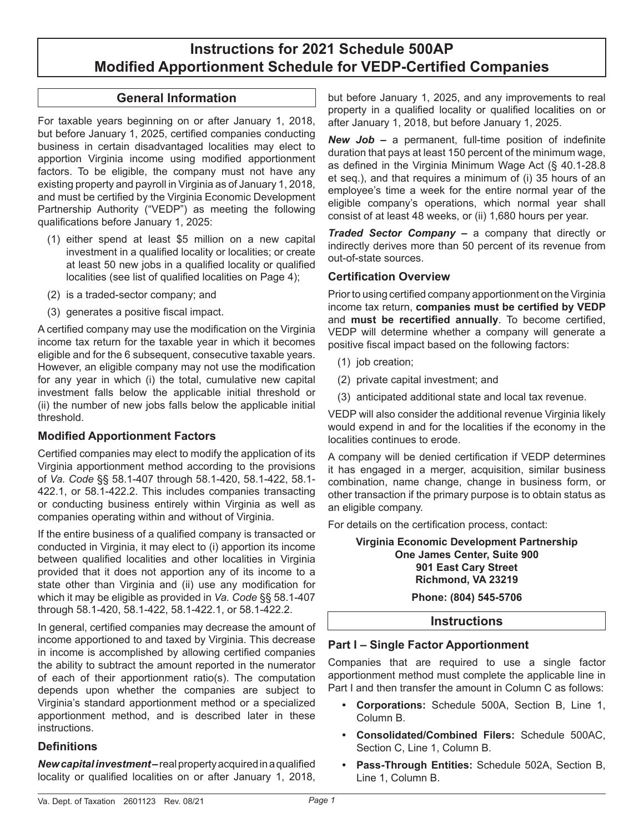# **Instructions for 2021 Schedule 500AP Modified Apportionment Schedule for VEDP-Certified Companies**

### **General Information**

For taxable years beginning on or after January 1, 2018, but before January 1, 2025, certified companies conducting business in certain disadvantaged localities may elect to apportion Virginia income using modified apportionment factors. To be eligible, the company must not have any existing property and payroll in Virginia as of January 1, 2018, and must be certified by the Virginia Economic Development Partnership Authority ("VEDP") as meeting the following qualifications before January 1, 2025:

- (1) either spend at least \$5 million on a new capital investment in a qualified locality or localities; or create at least 50 new jobs in a qualified locality or qualified localities (see list of qualified localities on Page 4);
- (2) is a traded-sector company; and
- (3) generates a positive fiscal impact.

A certified company may use the modification on the Virginia income tax return for the taxable year in which it becomes eligible and for the 6 subsequent, consecutive taxable years. However, an eligible company may not use the modification for any year in which (i) the total, cumulative new capital investment falls below the applicable initial threshold or (ii) the number of new jobs falls below the applicable initial threshold.

### **Modified Apportionment Factors**

Certified companies may elect to modify the application of its Virginia apportionment method according to the provisions of *Va. Code* §§ 58.1-407 through 58.1-420, 58.1-422, 58.1- 422.1, or 58.1-422.2. This includes companies transacting or conducting business entirely within Virginia as well as companies operating within and without of Virginia.

If the entire business of a qualified company is transacted or conducted in Virginia, it may elect to (i) apportion its income between qualified localities and other localities in Virginia provided that it does not apportion any of its income to a state other than Virginia and (ii) use any modification for which it may be eligible as provided in *Va. Code* §§ 58.1-407 through 58.1-420, 58.1-422, 58.1-422.1, or 58.1-422.2.

In general, certified companies may decrease the amount of income apportioned to and taxed by Virginia. This decrease in income is accomplished by allowing certified companies the ability to subtract the amount reported in the numerator of each of their apportionment ratio(s). The computation depends upon whether the companies are subject to Virginia's standard apportionment method or a specialized apportionment method, and is described later in these instructions.

#### **Definitions**

*New capital investment –* real property acquired in a qualified locality or qualified localities on or after January 1, 2018, but before January 1, 2025, and any improvements to real property in a qualified locality or qualified localities on or after January 1, 2018, but before January 1, 2025.

*New Job –* a permanent, full-time position of indefinite duration that pays at least 150 percent of the minimum wage, as defined in the Virginia Minimum Wage Act (§ 40.1‑28.8 et seq.), and that requires a minimum of (i) 35 hours of an employee's time a week for the entire normal year of the eligible company's operations, which normal year shall consist of at least 48 weeks, or (ii) 1,680 hours per year.

*Traded Sector Company –* a company that directly or indirectly derives more than 50 percent of its revenue from out-of-state sources.

#### **Certification Overview**

Prior to using certified company apportionment on the Virginia income tax return, **companies must be certified by VEDP**  and **must be recertified annually**. To become certified, VEDP will determine whether a company will generate a positive fiscal impact based on the following factors:

- (1) job creation;
- (2) private capital investment; and
- (3) anticipated additional state and local tax revenue.

VEDP will also consider the additional revenue Virginia likely would expend in and for the localities if the economy in the localities continues to erode.

A company will be denied certification if VEDP determines it has engaged in a merger, acquisition, similar business combination, name change, change in business form, or other transaction if the primary purpose is to obtain status as an eligible company.

For details on the certification process, contact:

**Virginia Economic Development Partnership One James Center, Suite 900 901 East Cary Street Richmond, VA 23219**

**Phone: (804) 545-5706**

#### **Instructions**

#### **Part I – Single Factor Apportionment**

Companies that are required to use a single factor apportionment method must complete the applicable line in Part I and then transfer the amount in Column C as follows:

- **• Corporations:** Schedule 500A, Section B, Line 1, Column B.
- **• Consolidated/Combined Filers:** Schedule 500AC, Section C, Line 1, Column B.
- **• Pass-Through Entities:** Schedule 502A, Section B, Line 1, Column B.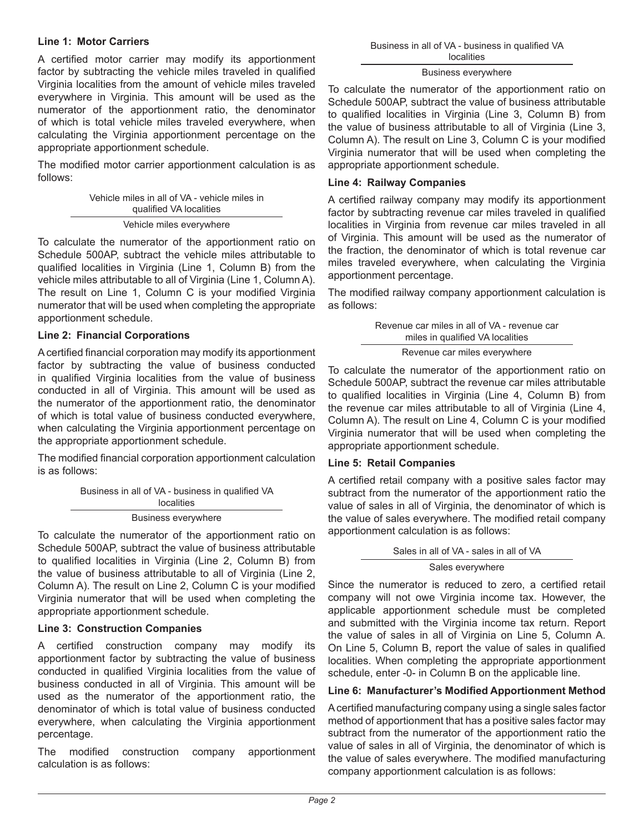#### **Line 1: Motor Carriers**

A certified motor carrier may modify its apportionment factor by subtracting the vehicle miles traveled in qualified Virginia localities from the amount of vehicle miles traveled everywhere in Virginia. This amount will be used as the numerator of the apportionment ratio, the denominator of which is total vehicle miles traveled everywhere, when calculating the Virginia apportionment percentage on the appropriate apportionment schedule.

The modified motor carrier apportionment calculation is as follows:

| Vehicle miles in all of VA - vehicle miles in |  |
|-----------------------------------------------|--|
| qualified VA localities                       |  |
| Vehicle miles everywhere                      |  |

To calculate the numerator of the apportionment ratio on Schedule 500AP, subtract the vehicle miles attributable to qualified localities in Virginia (Line 1, Column B) from the vehicle miles attributable to all of Virginia (Line 1, Column A). The result on Line 1, Column C is your modified Virginia numerator that will be used when completing the appropriate apportionment schedule.

### **Line 2: Financial Corporations**

A certified financial corporation may modify its apportionment factor by subtracting the value of business conducted in qualified Virginia localities from the value of business conducted in all of Virginia. This amount will be used as the numerator of the apportionment ratio, the denominator of which is total value of business conducted everywhere, when calculating the Virginia apportionment percentage on the appropriate apportionment schedule.

The modified financial corporation apportionment calculation is as follows:

> Business in all of VA - business in qualified VA localities

Business everywhere

To calculate the numerator of the apportionment ratio on Schedule 500AP, subtract the value of business attributable to qualified localities in Virginia (Line 2, Column B) from the value of business attributable to all of Virginia (Line 2, Column A). The result on Line 2, Column C is your modified Virginia numerator that will be used when completing the appropriate apportionment schedule.

#### **Line 3: Construction Companies**

A certified construction company may modify its apportionment factor by subtracting the value of business conducted in qualified Virginia localities from the value of business conducted in all of Virginia. This amount will be used as the numerator of the apportionment ratio, the denominator of which is total value of business conducted everywhere, when calculating the Virginia apportionment percentage.

The modified construction company apportionment calculation is as follows:

| Business in all of VA - business in qualified VA |
|--------------------------------------------------|
| <b>localities</b>                                |

#### Business everywhere

To calculate the numerator of the apportionment ratio on Schedule 500AP, subtract the value of business attributable to qualified localities in Virginia (Line 3, Column B) from the value of business attributable to all of Virginia (Line 3, Column A). The result on Line 3, Column C is your modified Virginia numerator that will be used when completing the appropriate apportionment schedule.

#### **Line 4: Railway Companies**

A certified railway company may modify its apportionment factor by subtracting revenue car miles traveled in qualified localities in Virginia from revenue car miles traveled in all of Virginia. This amount will be used as the numerator of the fraction, the denominator of which is total revenue car miles traveled everywhere, when calculating the Virginia apportionment percentage.

The modified railway company apportionment calculation is as follows:

> Revenue car miles in all of VA - revenue car miles in qualified VA localities

Revenue car miles everywhere

To calculate the numerator of the apportionment ratio on Schedule 500AP, subtract the revenue car miles attributable to qualified localities in Virginia (Line 4, Column B) from the revenue car miles attributable to all of Virginia (Line 4, Column A). The result on Line 4, Column C is your modified Virginia numerator that will be used when completing the appropriate apportionment schedule.

#### **Line 5: Retail Companies**

A certified retail company with a positive sales factor may subtract from the numerator of the apportionment ratio the value of sales in all of Virginia, the denominator of which is the value of sales everywhere. The modified retail company apportionment calculation is as follows:

Sales in all of VA - sales in all of VA

Sales everywhere

Since the numerator is reduced to zero, a certified retail company will not owe Virginia income tax. However, the applicable apportionment schedule must be completed and submitted with the Virginia income tax return. Report the value of sales in all of Virginia on Line 5, Column A. On Line 5, Column B, report the value of sales in qualified localities. When completing the appropriate apportionment schedule, enter -0- in Column B on the applicable line.

### **Line 6: Manufacturer's Modified Apportionment Method**

A certified manufacturing company using a single sales factor method of apportionment that has a positive sales factor may subtract from the numerator of the apportionment ratio the value of sales in all of Virginia, the denominator of which is the value of sales everywhere. The modified manufacturing company apportionment calculation is as follows: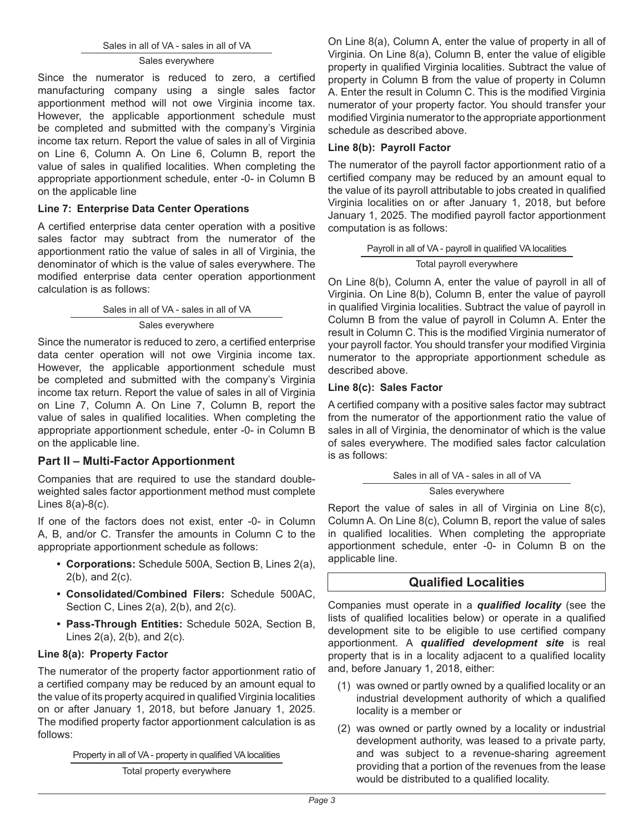Sales in all of VA - sales in all of VA

#### Sales everywhere

Since the numerator is reduced to zero, a certified manufacturing company using a single sales factor apportionment method will not owe Virginia income tax. However, the applicable apportionment schedule must be completed and submitted with the company's Virginia income tax return. Report the value of sales in all of Virginia on Line 6, Column A. On Line 6, Column B, report the value of sales in qualified localities. When completing the appropriate apportionment schedule, enter -0- in Column B on the applicable line

### **Line 7: Enterprise Data Center Operations**

A certified enterprise data center operation with a positive sales factor may subtract from the numerator of the apportionment ratio the value of sales in all of Virginia, the denominator of which is the value of sales everywhere. The modified enterprise data center operation apportionment calculation is as follows:

Sales in all of VA - sales in all of VA

#### Sales everywhere

Since the numerator is reduced to zero, a certified enterprise data center operation will not owe Virginia income tax. However, the applicable apportionment schedule must be completed and submitted with the company's Virginia income tax return. Report the value of sales in all of Virginia on Line 7, Column A. On Line 7, Column B, report the value of sales in qualified localities. When completing the appropriate apportionment schedule, enter -0- in Column B on the applicable line.

### **Part II – Multi-Factor Apportionment**

Companies that are required to use the standard doubleweighted sales factor apportionment method must complete Lines 8(a)-8(c).

If one of the factors does not exist, enter -0- in Column A, B, and/or C. Transfer the amounts in Column C to the appropriate apportionment schedule as follows:

- **• Corporations:** Schedule 500A, Section B, Lines 2(a), 2(b), and 2(c).
- **• Consolidated/Combined Filers:** Schedule 500AC, Section C, Lines 2(a), 2(b), and 2(c).
- **• Pass-Through Entities:** Schedule 502A, Section B, Lines 2(a), 2(b), and 2(c).

#### **Line 8(a): Property Factor**

The numerator of the property factor apportionment ratio of a certified company may be reduced by an amount equal to the value of its property acquired in qualified Virginia localities on or after January 1, 2018, but before January 1, 2025. The modified property factor apportionment calculation is as follows:

Property in all of VA - property in qualified VA localities

Total property everywhere

On Line 8(a), Column A, enter the value of property in all of Virginia. On Line 8(a), Column B, enter the value of eligible property in qualified Virginia localities. Subtract the value of property in Column B from the value of property in Column A. Enter the result in Column C. This is the modified Virginia numerator of your property factor. You should transfer your modified Virginia numerator to the appropriate apportionment schedule as described above.

#### **Line 8(b): Payroll Factor**

The numerator of the payroll factor apportionment ratio of a certified company may be reduced by an amount equal to the value of its payroll attributable to jobs created in qualified Virginia localities on or after January 1, 2018, but before January 1, 2025. The modified payroll factor apportionment computation is as follows:

|  |  | Payroll in all of VA - payroll in qualified VA localities |
|--|--|-----------------------------------------------------------|
|  |  |                                                           |

#### Total payroll everywhere

On Line 8(b), Column A, enter the value of payroll in all of Virginia. On Line 8(b), Column B, enter the value of payroll in qualified Virginia localities. Subtract the value of payroll in Column B from the value of payroll in Column A. Enter the result in Column C. This is the modified Virginia numerator of your payroll factor. You should transfer your modified Virginia numerator to the appropriate apportionment schedule as described above.

#### **Line 8(c): Sales Factor**

A certified company with a positive sales factor may subtract from the numerator of the apportionment ratio the value of sales in all of Virginia, the denominator of which is the value of sales everywhere. The modified sales factor calculation is as follows:

Sales in all of VA - sales in all of VA

#### Sales everywhere

Report the value of sales in all of Virginia on Line 8(c), Column A. On Line 8(c), Column B, report the value of sales in qualified localities. When completing the appropriate apportionment schedule, enter -0- in Column B on the applicable line.

### **Qualified Localities**

Companies must operate in a *qualified locality* (see the lists of qualified localities below) or operate in a qualified development site to be eligible to use certified company apportionment. A *qualified development site* is real property that is in a locality adjacent to a qualified locality and, before January 1, 2018, either:

- (1) was owned or partly owned by a qualified locality or an industrial development authority of which a qualified locality is a member or
- (2) was owned or partly owned by a locality or industrial development authority, was leased to a private party, and was subject to a revenue-sharing agreement providing that a portion of the revenues from the lease would be distributed to a qualified locality.